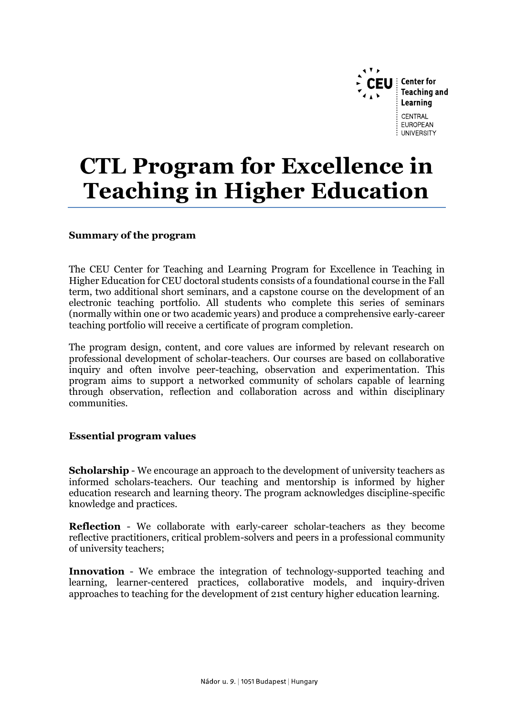

# **CTL Program for Excellence in Teaching in Higher Education**

# **Summary of the program**

The CEU Center for Teaching and Learning Program for Excellence in Teaching in Higher Education for CEU doctoral students consists of a foundational course in the Fall term, two additional short seminars, and a capstone course on the development of an electronic teaching portfolio. All students who complete this series of seminars (normally within one or two academic years) and produce a comprehensive early-career teaching portfolio will receive a certificate of program completion.

The program design, content, and core values are informed by relevant research on professional development of scholar-teachers. Our courses are based on collaborative inquiry and often involve peer-teaching, observation and experimentation. This program aims to support a networked community of scholars capable of learning through observation, reflection and collaboration across and within disciplinary communities.

#### **Essential program values**

**Scholarship** - We encourage an approach to the development of university teachers as informed scholars-teachers. Our teaching and mentorship is informed by higher education research and learning theory. The program acknowledges discipline-specific knowledge and practices.

**Reflection** - We collaborate with early-career scholar-teachers as they become reflective practitioners, critical problem-solvers and peers in a professional community of university teachers;

**Innovation** - We embrace the integration of technology-supported teaching and learning, learner-centered practices, collaborative models, and inquiry-driven approaches to teaching for the development of 21st century higher education learning.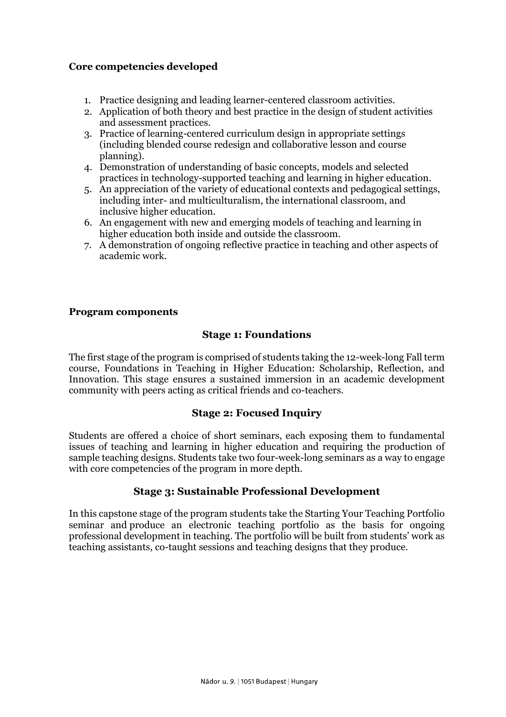# **Core competencies developed**

- 1. Practice designing and leading learner-centered classroom activities.
- 2. Application of both theory and best practice in the design of student activities and assessment practices.
- 3. Practice of learning-centered curriculum design in appropriate settings (including blended course redesign and collaborative lesson and course planning).
- 4. Demonstration of understanding of basic concepts, models and selected practices in technology-supported teaching and learning in higher education.
- 5. An appreciation of the variety of educational contexts and pedagogical settings, including inter- and multiculturalism, the international classroom, and inclusive higher education.
- 6. An engagement with new and emerging models of teaching and learning in higher education both inside and outside the classroom.
- 7. A demonstration of ongoing reflective practice in teaching and other aspects of academic work.

#### **Program components**

# **Stage 1: Foundations**

The first stage of the program is comprised of students taking the 12-week-long Fall term course, Foundations in Teaching in Higher Education: Scholarship, Reflection, and Innovation. This stage ensures a sustained immersion in an academic development community with peers acting as critical friends and co-teachers.

#### **Stage 2: Focused Inquiry**

Students are offered a choice of short seminars, each exposing them to fundamental issues of teaching and learning in higher education and requiring the production of sample teaching designs. Students take two four-week-long seminars as a way to engage with core competencies of the program in more depth.

#### **Stage 3: Sustainable Professional Development**

In this capstone stage of the program students take the Starting Your Teaching Portfolio seminar and produce an electronic teaching portfolio as the basis for ongoing professional development in teaching. The portfolio will be built from students' work as teaching assistants, co-taught sessions and teaching designs that they produce.